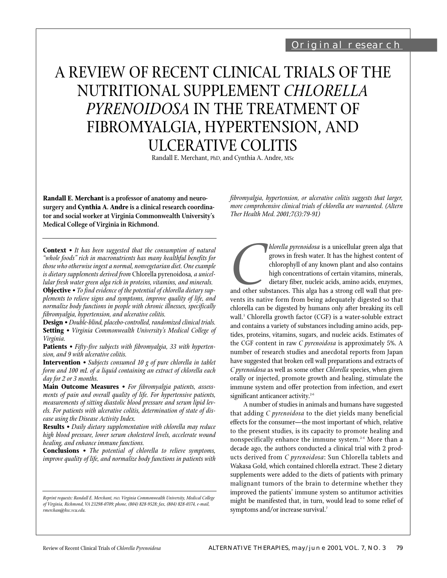# A REVIEW OF RECENT CLINICAL TRIALS OF THE NUTRITIONAL SUPPLEMENT *CHLORELLA PYRENOIDOSA* IN THE TREATMENT OF FIBROMYALGIA, HYPERTENSION, AND ULCERATIVE COLITIS

Randall E. Merchant, PhD, and Cynthia A. Andre, MSc

**Randall E. Merchant is a professor of anatomy and neurosurgery and Cynthia A. Andre is a clinical research coordinator and social worker at Virginia Commonwealth University's Medical College of Virginia in Richmond.**

**Context** *• It has been suggested that the consumption of natural "whole foods" rich in macronutrients has many healthful benefits for those who otherwise ingest a normal, nonvegetarian diet. One example is dietary supplements derived from* Chlorella pyrenoidosa*, a unicellular fresh water green alga rich in proteins, vitamins, and minerals.* **Objective** *• To find evidence of the potential of chlorella dietary sup-*

*plements to relieve signs and symptoms, improve quality of life, and normalize body functions in people with chronic illnesses, specifically fibromyalgia, hypertension, and ulcerative colitis.*

**Design** *• Double-blind, placebo-controlled, randomized clinical trials.* **Setting** *• Virginia Commonwealth University's Medical College of Virginia.*

**Patients** *• Fifty-five subjects with fibromyalgia, 33 with hypertension, and 9 with ulcerative colitis.*

**Intervention** *• Subjects consumed 10 g of pure chlorella in tablet form and 100 mL of a liquid containing an extract of chlorella each day for 2 or 3 months.*

**Main Outcome Measures** *• For fibromyalgia patients, assessments of pain and overall quality of life. For hypertensive patients, measurements of sitting diastolic blood pressure and serum lipid levels. For patients with ulcerative colitis, determination of state of disease using the Disease Activity Index.*

**Results** *• Daily dietary supplementation with chlorella may reduce high blood pressure, lower serum cholesterol levels, accelerate wound healing, and enhance immune functions.*

**Conclusions** *• The potential of chlorella to relieve symptoms, improve quality of life, and normalize body functions in patients with* *fibromyalgia, hypertension, or ulcerative colitis suggests that larger, more comprehensive clinical trials of chlorella are warranted. (Altern Ther Health Med. 2001;7(3):79-91)*

*Chlorella pyrenoidosa* is a unicellular green alga that<br>
grows in fresh water. It has the highest content of<br>
chlorophyll of any known plant and also contains<br>
high concentrations of certain vitamins, minerals,<br>
dietary f grows in fresh water. It has the highest content of chlorophyll of any known plant and also contains high concentrations of certain vitamins, minerals, dietary fiber, nucleic acids, amino acids, enzymes, and other substances. This alga has a strong cell wall that prechlorella can be digested by humans only after breaking its cell wall.<sup>1</sup> Chlorella growth factor (CGF) is a water-soluble extract and contains a variety of substances including amino acids, peptides, proteins, vitamins, sugars, and nucleic acids. Estimates of the CGF content in raw *C pyrenoidosa* is approximately 5%. A number of research studies and anecdotal reports from Japan have suggested that broken cell wall preparations and extracts of *C pyrenoidosa* as well as some other *Chlorella* species, when given orally or injected, promote growth and healing, stimulate the immune system and offer protection from infection, and exert significant anticancer activity.<sup>2-6</sup>

A number of studies in animals and humans have suggested that adding *C pyrenoidosa* to the diet yields many beneficial effects for the consumer—the most important of which, relative to the present studies, is its capacity to promote healing and nonspecifically enhance the immune system.<sup>2-6</sup> More than a decade ago, the authors conducted a clinical trial with 2 products derived from *C pyrenoidosa*: Sun Chlorella tablets and Wakasa Gold, which contained chlorella extract. These 2 dietary supplements were added to the diets of patients with primary malignant tumors of the brain to determine whether they improved the patients' immune system so antitumor activities might be manifested that, in turn, would lead to some relief of symptoms and/or increase survival.<sup>7</sup>

*Reprint requests: Randall E. Merchant, PhD, Virginia Commonwealth University, Medical College of Virginia, Richmond, VA 23298-0709; phone, (804) 828-9528; fax, (804) 828-0374, e-mail, rmerchan@hsc.vcu.edu.*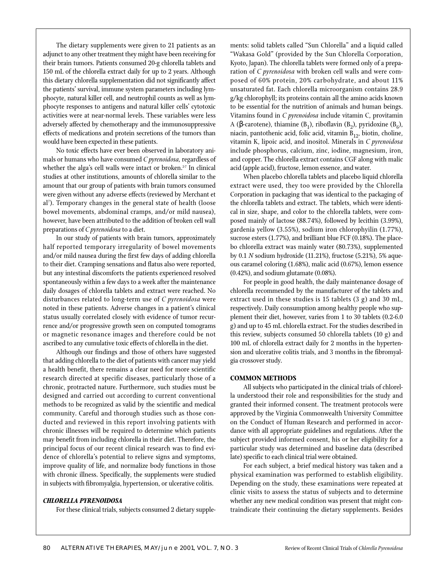The dietary supplements were given to 21 patients as an adjunct to any other treatment they might have been receiving for their brain tumors. Patients consumed 20-g chlorella tablets and 150 mL of the chlorella extract daily for up to 2 years. Although this dietary chlorella supplementation did not significantly affect the patients' survival, immune system parameters including lymphocyte, natural killer cell, and neutrophil counts as well as lymphocyte responses to antigens and natural killer cells' cytotoxic activities were at near-normal levels. These variables were less adversely affected by chemotherapy and the immunosuppressive effects of medications and protein secretions of the tumors than would have been expected in these patients.

No toxic effects have ever been observed in laboratory animals or humans who have consumed *C pyrenoidosa,* regardless of whether the alga's cell walls were intact or broken.<sup>2-7</sup> In clinical studies at other institutions, amounts of chlorella similar to the amount that our group of patients with brain tumors consumed were given without any adverse effects (reviewed by Merchant et al7 ). Temporary changes in the general state of health (loose bowel movements, abdominal cramps, and/or mild nausea), however, have been attributed to the addition of broken cell wall preparations of *C pyrenoidosa* to a diet.

In our study of patients with brain tumors, approximately half reported temporary irregularity of bowel movements and/or mild nausea during the first few days of adding chlorella to their diet. Cramping sensations and flatus also were reported, but any intestinal discomforts the patients experienced resolved spontaneously within a few days to a week after the maintenance daily dosages of chlorella tablets and extract were reached. No disturbances related to long-term use of *C pyrenoidosa* were noted in these patients. Adverse changes in a patient's clinical status usually correlated closely with evidence of tumor recurrence and/or progressive growth seen on computed tomograms or magnetic resonance images and therefore could be not ascribed to any cumulative toxic effects of chlorella in the diet.

Although our findings and those of others have suggested that adding chlorella to the diet of patients with cancer may yield a health benefit, there remains a clear need for more scientific research directed at specific diseases, particularly those of a chronic, protracted nature. Furthermore, such studies must be designed and carried out according to current conventional methods to be recognized as valid by the scientific and medical community. Careful and thorough studies such as those conducted and reviewed in this report involving patients with chronic illnesses will be required to determine which patients may benefit from including chlorella in their diet. Therefore, the principal focus of our recent clinical research was to find evidence of chlorella's potential to relieve signs and symptoms, improve quality of life, and normalize body functions in those with chronic illness. Specifically, the supplements were studied in subjects with fibromyalgia, hypertension, or ulcerative colitis.

#### *CHLORELLA PYRENOIDOSA*

For these clinical trials, subjects consumed 2 dietary supple-

ments: solid tablets called "Sun Chlorella" and a liquid called "Wakasa Gold" (provided by the Sun Chlorella Corporation, Kyoto, Japan). The chlorella tablets were formed only of a preparation of *C pyrenoidosa* with broken cell walls and were composed of 60% protein, 20% carbohydrate, and about 11% unsaturated fat. Each chlorella microorganism contains 28.9 g/kg chlorophyll; its proteins contain all the amino acids known to be essential for the nutrition of animals and human beings. Vitamins found in *C pyrenoidosa* include vitamin C, provitamin A (β-carotene), thiamine (B<sub>1</sub>), riboflavin (B<sub>2</sub>), pyridoxine (B<sub>6</sub>), niacin, pantothenic acid, folic acid, vitamin  $B_{12}$ , biotin, choline, vitamin K, lipoic acid, and inositol. Minerals in *C pyrenoidosa* include phosphorus, calcium, zinc, iodine, magnesium, iron, and copper. The chlorella extract contains CGF along with malic acid (apple acid), fructose, lemon essence, and water.

When placebo chlorella tablets and placebo liquid chlorella extract were used, they too were provided by the Chlorella Corporation in packaging that was identical to the packaging of the chlorella tablets and extract. The tablets, which were identical in size, shape, and color to the chlorella tablets, were composed mainly of lactose (88.74%), followed by lecithin (3.99%), gardenia yellow (3.55%), sodium iron chlorophyilin (1.77%), sucrose esters (1.77%), and brilliant blue FCF (0.18%). The placebo chlorella extract was mainly water (80.73%), supplemented by 0.1 *N* sodium hydroxide (11.21%), fructose (5.21%), 5% aqueous caramel coloring (1.68%), malic acid (0.67%), lemon essence (0.42%), and sodium glutamate (0.08%).

For people in good health, the daily maintenance dosage of chlorella recommended by the manufacturer of the tablets and extract used in these studies is 15 tablets (3 g) and 30 mL, respectively. Daily consumption among healthy people who supplement their diet, however, varies from 1 to 30 tablets (0.2-6.0 g) and up to 45 mL chlorella extract. For the studies described in this review, subjects consumed 50 chlorella tablets (10 g) and 100 mL of chlorella extract daily for 2 months in the hypertension and ulcerative colitis trials, and 3 months in the fibromyalgia crossover study.

#### **COMMON METHODS**

All subjects who participated in the clinical trials of chlorella understood their role and responsibilities for the study and granted their informed consent. The treatment protocols were approved by the Virginia Commonwealth University Committee on the Conduct of Human Research and performed in accordance with all appropriate guidelines and regulations. After the subject provided informed consent, his or her eligibility for a particular study was determined and baseline data (described late) specific to each clinical trial were obtained.

For each subject, a brief medical history was taken and a physical examination was performed to establish eligibility. Depending on the study, these examinations were repeated at clinic visits to assess the status of subjects and to determine whether any new medical condition was present that might contraindicate their continuing the dietary supplements. Besides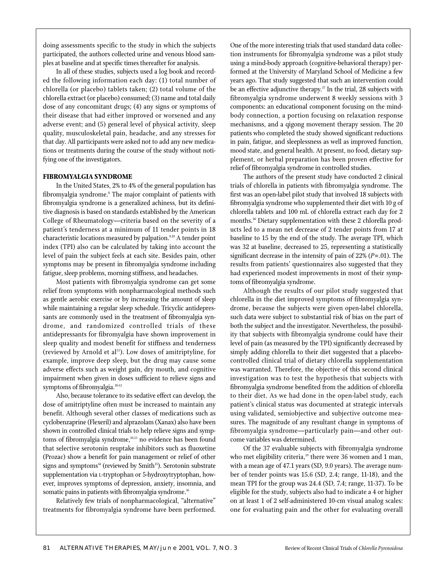doing assessments specific to the study in which the subjects participated, the authors collected urine and venous blood samples at baseline and at specific times thereafter for analysis.

In all of these studies, subjects used a log book and recorded the following information each day: (1) total number of chlorella (or placebo) tablets taken; (2) total volume of the chlorella extract (or placebo) consumed; (3) name and total daily dose of any concomitant drugs; (4) any signs or symptoms of their disease that had either improved or worsened and any adverse event; and (5) general level of physical activity, sleep quality, musculoskeletal pain, headache, and any stresses for that day. All participants were asked not to add any new medications or treatments during the course of the study without notifying one of the investigators.

## **FIBROMYALGIA SYNDROME**

In the United States, 2% to 4% of the general population has fibromyalgia syndrome.<sup>8</sup> The major complaint of patients with fibromyalgia syndrome is a generalized achiness, but its definitive diagnosis is based on standards established by the American College of Rheumatology—criteria based on the severity of a patient's tenderness at a minimum of 11 tender points in 18 characteristic locations measured by palpation.<sup>9,10</sup> A tender point index (TPI) also can be calculated by taking into account the level of pain the subject feels at each site. Besides pain, other symptoms may be present in fibromyalgia syndrome including fatigue, sleep problems, morning stiffness, and headaches.

Most patients with fibromyalgia syndrome can get some relief from symptoms with nonpharmacological methods such as gentle aerobic exercise or by increasing the amount of sleep while maintaining a regular sleep schedule. Tricyclic antidepressants are commonly used in the treatment of fibromyalgia syndrome, and randomized controlled trials of these antidepressants for fibromyalgia have shown improvement in sleep quality and modest benefit for stiffness and tenderness (reviewed by Arnold et al<sup>11</sup>). Low doses of amitriptyline, for example, improve deep sleep, but the drug may cause some adverse effects such as weight gain, dry mouth, and cognitive impairment when given in doses sufficient to relieve signs and symptoms of fibromyalgia.<sup>10-12</sup>

Also, because tolerance to its sedative effect can develop, the dose of amitriptyline often must be increased to maintain any benefit. Although several other classes of medications such as cyclobenzaprine (Flexeril) and alprazolam (Xanax) also have been shown in controlled clinical trials to help relieve signs and symptoms of fibromyalgia syndrome,<sup>10,13</sup> no evidence has been found that selective serotonin reuptake inhibitors such as fluoxetine (Prozac) show a benefit for pain management or relief of other signs and symptoms $^{14}$  (reviewed by Smith<sup>15</sup>). Serotonin substrate supplementation via L-tryptophan or 5-hydroxytryptophan, however, improves symptoms of depression, anxiety, insomnia, and somatic pains in patients with fibromyalgia syndrome.<sup>16</sup>

Relatively few trials of nonpharmacological, "alternative" treatments for fibromyalgia syndrome have been performed.

One of the more interesting trials that used standard data collection instruments for fibromyalgia syndrome was a pilot study using a mind-body approach (cognitive-behavioral therapy) performed at the University of Maryland School of Medicine a few years ago. That study suggested that such an intervention could be an effective adjunctive therapy.<sup>17</sup> In the trial, 28 subjects with fibromyalgia syndrome underwent 8 weekly sessions with 3 components: an educational component focusing on the mindbody connection, a portion focusing on relaxation response mechanisms, and a qigong movement therapy session. The 20 patients who completed the study showed significant reductions in pain, fatigue, and sleeplessness as well as improved function, mood state, and general health. At present, no food, dietary supplement, or herbal preparation has been proven effective for relief of fibromyalgia syndrome in controlled studies.

The authors of the present study have conducted 2 clinical trials of chlorella in patients with fibromyalgia syndrome. The first was an open-label pilot study that involved 18 subjects with fibromyalgia syndrome who supplemented their diet with 10 g of chlorella tablets and 100 mL of chlorella extract each day for 2 months.18 Dietary supplementation with these 2 chlorella products led to a mean net decrease of 2 tender points from 17 at baseline to 15 by the end of the study. The average TPI, which was 32 at baseline, decreased to 25, representing a statistically significant decrease in the intensity of pain of 22% (*P*=.01). The results from patients' questionnaires also suggested that they had experienced modest improvements in most of their symptoms of fibromyalgia syndrome.

Although the results of our pilot study suggested that chlorella in the diet improved symptoms of fibromyalgia syndrome, because the subjects were given open-label chlorella, such data were subject to substantial risk of bias on the part of both the subject and the investigator. Nevertheless, the possibility that subjects with fibromyalgia syndrome could have their level of pain (as measured by the TPI) significantly decreased by simply adding chlorella to their diet suggested that a placebocontrolled clinical trial of dietary chlorella supplementation was warranted. Therefore, the objective of this second clinical investigation was to test the hypothesis that subjects with fibromyalgia syndrome benefited from the addition of chlorella to their diet. As we had done in the open-label study, each patient's clinical status was documented at strategic intervals using validated, semiobjective and subjective outcome measures. The magnitude of any resultant change in symptoms of fibromyalgia syndrome—particularly pain—and other outcome variables was determined.

Of the 37 evaluable subjects with fibromyalgia syndrome who met eligibility criteria,<sup>19</sup> there were 36 women and 1 man, with a mean age of 47.1 years (SD, 9.0 years). The average number of tender points was 15.6 (SD, 2.4; range, 11-18), and the mean TPI for the group was 24.4 (SD, 7.4; range, 11-37). To be eligible for the study, subjects also had to indicate a 4 or higher on at least 1 of 2 self-administered 10-cm visual analog scales: one for evaluating pain and the other for evaluating overall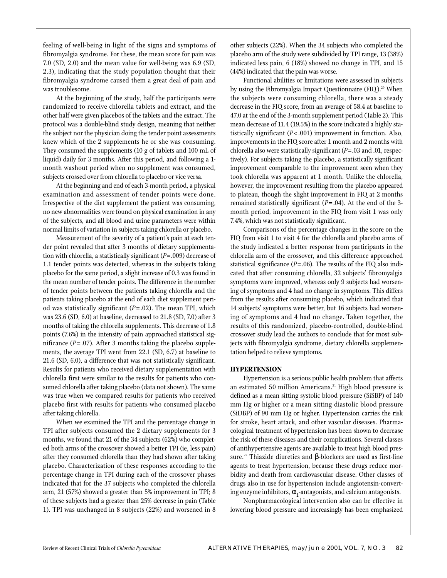feeling of well-being in light of the signs and symptoms of fibromyalgia syndrome. For these, the mean score for pain was 7.0 (SD, 2.0) and the mean value for well-being was 6.9 (SD, 2.3), indicating that the study population thought that their fibromyalgia syndrome caused them a great deal of pain and was troublesome.

At the beginning of the study, half the participants were randomized to receive chlorella tablets and extract, and the other half were given placebos of the tablets and the extract. The protocol was a double-blind study design, meaning that neither the subject nor the physician doing the tender point assessments knew which of the 2 supplements he or she was consuming. They consumed the supplements (10 g of tablets and 100 mL of liquid) daily for 3 months. After this period, and following a 1 month washout period when no supplement was consumed, subjects crossed over from chlorella to placebo or vice versa.

At the beginning and end of each 3-month period, a physical examination and assessment of tender points were done. Irrespective of the diet supplement the patient was consuming, no new abnormalities were found on physical examination in any of the subjects, and all blood and urine parameters were within normal limits of variation in subjects taking chlorella or placebo.

Measurement of the severity of a patient's pain at each tender point revealed that after 3 months of dietary supplementation with chlorella, a statistically significant (*P*=.009) decrease of 1.1 tender points was detected, whereas in the subjects taking placebo for the same period, a slight increase of 0.3 was found in the mean number of tender points. The difference in the number of tender points between the patients taking chlorella and the patients taking placebo at the end of each diet supplement period was statistically significant (*P*= .02). The mean TPI, which was 23.6 (SD, 6.0) at baseline, decreased to 21.8 (SD, 7.0) after 3 months of taking the chlorella supplements. This decrease of 1.8 points (7.6%) in the intensity of pain approached statistical significance (*P*= .07). After 3 months taking the placebo supplements, the average TPI went from 22.1 (SD, 6.7) at baseline to 21.6 (SD, 6.0), a difference that was not statistically significant. Results for patients who received dietary supplementation with chlorella first were similar to the results for patients who consumed chlorella after taking placebo (data not shown). The same was true when we compared results for patients who received placebo first with results for patients who consumed placebo after taking chlorella.

When we examined the TPI and the percentage change in TPI after subjects consumed the 2 dietary supplements for 3 months, we found that 21 of the 34 subjects (62%) who completed both arms of the crossover showed a better TPI (ie, less pain) after they consumed chlorella than they had shown after taking placebo. Characterization of these responses according to the percentage change in TPI during each of the crossover phases indicated that for the 37 subjects who completed the chlorella arm, 21 (57%) showed a greater than 5% improvement in TPI; 8 of these subjects had a greater than 25% decrease in pain (Table 1). TPI was unchanged in 8 subjects (22%) and worsened in 8

other subjects (22%). When the 34 subjects who completed the placebo arm of the study were subdivided by TPI range, 13 (38%) indicated less pain, 6 (18%) showed no change in TPI, and 15 (44%) indicated that the pain was worse.

Functional abilities or limitations were assessed in subjects by using the Fibromyalgia Impact Questionnaire (FIQ).<sup>20</sup> When the subjects were consuming chlorella, there was a steady decrease in the FIQ score, from an average of 58.4 at baseline to 47.0 at the end of the 3-month supplement period (Table 2). This mean decrease of 11.4 (19.5%) in the score indicated a highly statistically significant (*P*< .001) improvement in function. Also, improvements in the FIQ score after 1 month and 2 months with chlorella also were statistically significant (*P*=.03 and .01, respectively). For subjects taking the placebo, a statistically significant improvement comparable to the improvement seen when they took chlorella was apparent at 1 month. Unlike the chlorella, however, the improvement resulting from the placebo appeared to plateau, though the slight improvement in FIQ at 2 months remained statistically significant (*P*=.04). At the end of the 3 month period, improvement in the FIQ from visit 1 was only 7.4%, which was not statistically significant.

Comparisons of the percentage changes in the score on the FIQ from visit 1 to visit 4 for the chlorella and placebo arms of the study indicated a better response from participants in the chlorella arm of the crossover, and this difference approached statistical significance (*P*=.06). The results of the FIQ also indicated that after consuming chlorella, 32 subjects' fibromyalgia symptoms were improved, whereas only 9 subjects had worsening of symptoms and 4 had no change in symptoms. This differs from the results after consuming placebo, which indicated that 14 subjects' symptoms were better, but 16 subjects had worsening of symptoms and 4 had no change. Taken together, the results of this randomized, placebo-controlled, double-blind crossover study lead the authors to conclude that for most subjects with fibromyalgia syndrome, dietary chlorella supplementation helped to relieve symptoms.

### **HYPERTENSION**

Hypertension is a serious public health problem that affects an estimated 50 million Americans.<sup>21</sup> High blood pressure is defined as a mean sitting systolic blood pressure (SiSBP) of 140 mm Hg or higher or a mean sitting diastolic blood pressure (SiDBP) of 90 mm Hg or higher. Hypertension carries the risk for stroke, heart attack, and other vascular diseases. Pharmacological treatment of hypertension has been shown to decrease the risk of these diseases and their complications. Several classes of antihypertensive agents are available to treat high blood pressure.<sup>22</sup> Thiazide diuretics and β-blockers are used as first-line agents to treat hypertension, because these drugs reduce morbidity and death from cardiovascular disease. Other classes of drugs also in use for hypertension include angiotensin-converting enzyme inhibitors,  $\alpha_1$ -antagonists, and calcium antagonists.

Nonpharmacological intervention also can be effective in lowering blood pressure and increasingly has been emphasized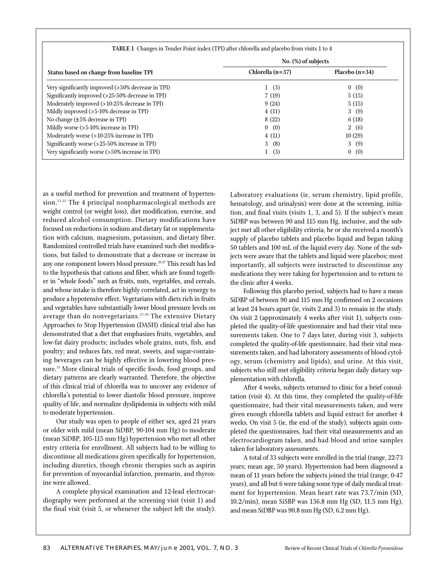|                                                    | <b>TABLE 1</b> Changes in Tender Point index (TPI) after chlorella and placebo from visits 1 to 4 |                     |  |  |  |  |  |  |  |  |  |
|----------------------------------------------------|---------------------------------------------------------------------------------------------------|---------------------|--|--|--|--|--|--|--|--|--|
|                                                    | No. (%) of subjects                                                                               |                     |  |  |  |  |  |  |  |  |  |
| Status based on change from baseline TPI           | Chlorella (n=37)                                                                                  | Placebo $(n=34)$    |  |  |  |  |  |  |  |  |  |
| Very significantly improved (>50% decrease in TPI) | 1(3)                                                                                              | 0(0)                |  |  |  |  |  |  |  |  |  |
| Significantly improved (>25-50% decrease in TPI)   | 7(19)                                                                                             | 5(15)               |  |  |  |  |  |  |  |  |  |
| Moderately improved (>10-25% decrease in TPI)      | 9(24)                                                                                             | 5(15)               |  |  |  |  |  |  |  |  |  |
| Mildly improved (>5-10% decrease in TPI)           | 4(11)                                                                                             | 3(9)                |  |  |  |  |  |  |  |  |  |
| No change (±5% decrease in TPI)                    | 8 (22)                                                                                            | 6(18)               |  |  |  |  |  |  |  |  |  |
| Mildly worse (>5-10% increase in TPI)              | 0 (0)                                                                                             | 2(6)                |  |  |  |  |  |  |  |  |  |
| Moderately worse (>10-25% increase in TPI)         | 4(11)                                                                                             | 10(29)              |  |  |  |  |  |  |  |  |  |
| Significantly worse (>25-50% increase in TPI)      | 3(8)                                                                                              | 3(9)                |  |  |  |  |  |  |  |  |  |
| Very significantly worse (>50% increase in TPI)    | (3)<br>$\mathbf{1}$                                                                               | (0)<br>$\mathbf{0}$ |  |  |  |  |  |  |  |  |  |

as a useful method for prevention and treatment of hypertension.<sup>23-25</sup> The 4 principal nonpharmacological methods are weight control (or weight loss), diet modification, exercise, and reduced alcohol consumption. Dietary modifications have focused on reductions in sodium and dietary fat or supplementation with calcium, magnesium, potassium, and dietary fiber. Randomized controlled trials have examined such diet modifications, but failed to demonstrate that a decrease or increase in any one component lowers blood pressure.<sup>26,27</sup> This result has led to the hypothesis that cations and fiber, which are found together in "whole foods" such as fruits, nuts, vegetables, and cereals, and whose intake is therefore highly correlated, act in synergy to produce a hypotensive effect. Vegetarians with diets rich in fruits and vegetables have substantially lower blood pressure levels on average than do nonvegetarians.<sup>27-30</sup> The extensive Dietary Approaches to Stop Hypertension (DASH) clinical trial also has demonstrated that a diet that emphasizes fruits, vegetables, and low-fat dairy products; includes whole grains, nuts, fish, and poultry; and reduces fats, red meat, sweets, and sugar-containing beverages can be highly effective in lowering blood pressure.<sup>31</sup> More clinical trials of specific foods, food groups, and dietary patterns are clearly warranted. Therefore, the objective of this clinical trial of chlorella was to uncover any evidence of chlorella's potential to lower diastolic blood pressure, improve quality of life, and normalize dyslipidemia in subjects with mild to moderate hypertension.

Our study was open to people of either sex, aged 21 years or older with mild (mean SiDBP, 90-104 mm Hg) to moderate (mean SiDBP, 105-115 mm Hg) hypertension who met all other entry criteria for enrollment. All subjects had to be willing to discontinue all medications given specifically for hypertension, including diuretics, though chronic therapies such as aspirin for prevention of myocardial infarction, premarin, and thyroxine were allowed.

A complete physical examination and 12-lead electrocardiography were performed at the screening visit (visit 1) and the final visit (visit 5, or whenever the subject left the study).

Laboratory evaluations (ie, serum chemistry, lipid profile, hematology, and urinalysis) were done at the screening, initiation, and final visits (visits 1, 3, and 5). If the subject's mean SiDBP was between 90 and 115 mm Hg, inclusive, and the subject met all other eligibility criteria, he or she received a month's supply of placebo tablets and placebo liquid and began taking 50 tablets and 100 mL of the liquid every day. None of the subjects were aware that the tablets and liquid were placebos; most importantly, all subjects were instructed to discontinue any medications they were taking for hypertension and to return to the clinic after 4 weeks.

Following this placebo period, subjects had to have a mean SiDBP of between 90 and 115 mm Hg confirmed on 2 occasions at least 24 hours apart (ie, visits 2 and 3) to remain in the study. On visit 2 (approximately 4 weeks after visit 1), subjects completed the quality-of-life questionnaire and had their vital measurements taken. One to 7 days later, during visit 3, subjects completed the quality-of-life questionnaire, had their vital measurements taken, and had laboratory assessments of blood cytology, serum (chemistry and lipids), and urine. At this visit, subjects who still met eligibility criteria began daily dietary supplementation with chlorella*.*

After 4 weeks, subjects returned to clinic for a brief consultation (visit 4). At this time, they completed the quality-of-life questionnaire, had their vital measurements taken, and were given enough chlorella tablets and liquid extract for another 4 weeks. On visit 5 (ie, the end of the study), subjects again completed the questionnaires, had their vital measurements and an electrocardiogram taken, and had blood and urine samples taken for laboratory assessments.

A total of 33 subjects were enrolled in the trial (range, 22-73 years; mean age, 50 years). Hypertension had been diagnosed a mean of 11 years before the subjects joined the trial (range, 0-47 years), and all but 6 were taking some type of daily medical treatment for hypertension. Mean heart rate was 73.7/min (SD, 10.2/min), mean SiSBP was 136.8 mm Hg (SD, 11.5 mm Hg), and mean SiDBP was 90.8 mm Hg (SD, 6.2 mm Hg).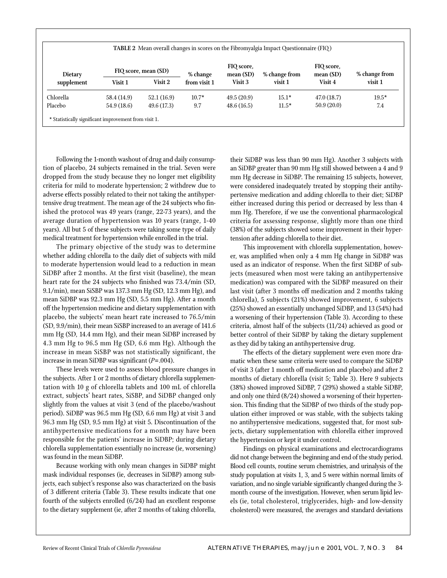| <b>TABLE 2</b> Mean overall changes in scores on the Fibromyalgia Impact Questionnaire (FIQ) |             |                      |              |                         |               |                         |               |  |  |
|----------------------------------------------------------------------------------------------|-------------|----------------------|--------------|-------------------------|---------------|-------------------------|---------------|--|--|
| Dietary<br>supplement                                                                        |             | FIQ score, mean (SD) | % change     | FIQ score,<br>mean (SD) | % change from | FIQ score,<br>mean (SD) | % change from |  |  |
|                                                                                              | Visit 1     | Visit 2              | from visit 1 | Visit 3                 | visit 1       | Visit 4                 | visit 1       |  |  |
| Chlorella                                                                                    | 58.4 (14.9) | 52.1(16.9)           | $10.7*$      | 49.5(20.9)              | $15.1*$       | 47.0(18.7)              | $19.5*$       |  |  |
| Placebo                                                                                      | 54.9 (18.6) | 49.6 (17.3)          | 9.7          | 48.6(16.5)              | $11.5*$       | 50.9(20.0)              | 7.4           |  |  |

Following the 1-month washout of drug and daily consumption of placebo, 24 subjects remained in the trial. Seven were dropped from the study because they no longer met eligibility criteria for mild to moderate hypertension; 2 withdrew due to adverse effects possibly related to their not taking the antihypertensive drug treatment. The mean age of the 24 subjects who finished the protocol was 49 years (range, 22-73 years), and the average duration of hypertension was 10 years (range, 1-40 years). All but 5 of these subjects were taking some type of daily medical treatment for hypertension while enrolled in the trial.

The primary objective of the study was to determine whether adding chlorella to the daily diet of subjects with mild to moderate hypertension would lead to a reduction in mean SiDBP after 2 months. At the first visit (baseline), the mean heart rate for the 24 subjects who finished was 73.4/min (SD, 9.1/min), mean SiSBP was 137.3 mm Hg (SD, 12.3 mm Hg), and mean SiDBP was 92.3 mm Hg (SD, 5.5 mm Hg). After a month off the hypertension medicine and dietary supplementation with placebo, the subjects' mean heart rate increased to 76.5/min (SD, 9.9/min), their mean SiSBP increased to an average of 141.6 mm Hg (SD, 14.4 mm Hg), and their mean SiDBP increased by 4.3 mm Hg to 96.5 mm Hg (SD, 6.6 mm Hg). Although the increase in mean SiSBP was not statistically significant, the increase in mean SiDBP was significant (*P*=.004).

These levels were used to assess blood pressure changes in the subjects. After 1 or 2 months of dietary chlorella supplementation with 10 g of chlorella tablets and 100 mL of chlorella extract, subjects' heart rates, SiSBP, and SiDBP changed only slightly from the values at visit 3 (end of the placebo/washout period). SiDBP was 96.5 mm Hg (SD, 6.6 mm Hg) at visit 3 and 96.3 mm Hg (SD, 9.5 mm Hg) at visit 5. Discontinuation of the antihypertensive medications for a month may have been responsible for the patients' increase in SiDBP; during dietary chlorella supplementation essentially no increase (ie, worsening) was found in the mean SiDBP.

Because working with only mean changes in SiDBP might mask individual responses (ie, decreases in SiDBP) among subjects, each subject's response also was characterized on the basis of 3 different criteria (Table 3). These results indicate that one fourth of the subjects enrolled (6/24) had an excellent response to the dietary supplement (ie, after 2 months of taking chlorella,

their SiDBP was less than 90 mm Hg). Another 3 subjects with an SiDBP greater than 90 mm Hg still showed between a 4 and 9 mm Hg decrease in SiDBP. The remaining 15 subjects, however, were considered inadequately treated by stopping their antihypertensive medication and adding chlorella to their diet; SiDBP either increased during this period or decreased by less than 4 mm Hg. Therefore, if we use the conventional pharmacological criteria for assessing response, slightly more than one third (38%) of the subjects showed some improvement in their hypertension after adding chlorella to their diet.

This improvement with chlorella supplementation, however, was amplified when only a 4 mm Hg change in SiDBP was used as an indicator of response. When the first SiDBP of subjects (measured when most were taking an antihypertensive medication) was compared with the SiDBP measured on their last visit (after 3 months off medication and 2 months taking chlorella), 5 subjects (21%) showed improvement, 6 subjects (25%) showed an essentially unchanged SiDBP, and 13 (54%) had a worsening of their hypertension (Table 3). According to these criteria, almost half of the subjects (11/24) achieved as good or better control of their SiDBP by taking the dietary supplement as they did by taking an antihypertensive drug.

The effects of the dietary supplement were even more dramatic when these same criteria were used to compare the SiDBP of visit 3 (after 1 month off medication and placebo) and after 2 months of dietary chlorella (visit 5; Table 3). Here 9 subjects (38%) showed improved SiDBP, 7 (29%) showed a stable SiDBP, and only one third (8/24) showed a worsening of their hypertension. This finding that the SiDBP of two thirds of the study population either improved or was stable, with the subjects taking no antihypertensive medications, suggested that, for most subjects, dietary supplementation with chlorella either improved the hypertension or kept it under control.

Findings on physical examinations and electrocardiograms did not change between the beginning and end of the study period. Blood cell counts, routine serum chemistries, and urinalysis of the study population at visits 1, 3, and 5 were within normal limits of variation, and no single variable significantly changed during the 3 month course of the investigation. However, when serum lipid levels (ie, total cholesterol, triglycerides, high- and low-density cholesterol) were measured, the averages and standard deviations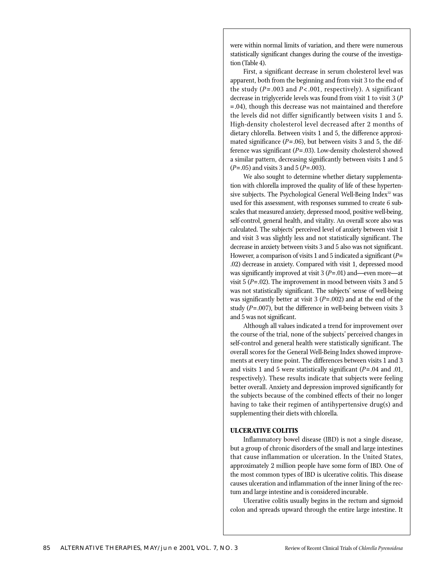were within normal limits of variation, and there were numerous statistically significant changes during the course of the investigation (Table 4).

First, a significant decrease in serum cholesterol level was apparent, both from the beginning and from visit 3 to the end of the study (*P*= .003 and *P*< .001, respectively). A significant decrease in triglyceride levels was found from visit 1 to visit 3 (*P* =.04), though this decrease was not maintained and therefore the levels did not differ significantly between visits 1 and 5. High-density cholesterol level decreased after 2 months of dietary chlorella. Between visits 1 and 5, the difference approximated significance  $(P=.06)$ , but between visits 3 and 5, the difference was significant (*P*=.03). Low-density cholesterol showed a similar pattern, decreasing significantly between visits 1 and 5 (*P*=.05) and visits 3 and 5 (*P*=.003).

We also sought to determine whether dietary supplementation with chlorella improved the quality of life of these hypertensive subjects. The Psychological General Well-Being Index<sup>32</sup> was used for this assessment, with responses summed to create 6 subscales that measured anxiety, depressed mood, positive well-being, self-control, general health, and vitality. An overall score also was calculated. The subjects' perceived level of anxiety between visit 1 and visit 3 was slightly less and not statistically significant. The decrease in anxiety between visits 3 and 5 also was not significant. However, a comparison of visits 1 and 5 indicated a significant (*P*= .02) decrease in anxiety. Compared with visit 1, depressed mood was significantly improved at visit 3 (*P*=.01) and—even more—at visit 5 (*P*=.02). The improvement in mood between visits 3 and 5 was not statistically significant. The subjects' sense of well-being was significantly better at visit 3 (*P*=.002) and at the end of the study (*P*=.007), but the difference in well-being between visits 3 and 5 was not significant.

Although all values indicated a trend for improvement over the course of the trial, none of the subjects' perceived changes in self-control and general health were statistically significant. The overall scores for the General Well-Being Index showed improvements at every time point. The differences between visits 1 and 3 and visits 1 and 5 were statistically significant (*P*=.04 and .01, respectively). These results indicate that subjects were feeling better overall. Anxiety and depression improved significantly for the subjects because of the combined effects of their no longer having to take their regimen of antihypertensive drug(s) and supplementing their diets with chlorella*.*

#### **ULCERATIVE COLITIS**

Inflammatory bowel disease (IBD) is not a single disease, but a group of chronic disorders of the small and large intestines that cause inflammation or ulceration. In the United States, approximately 2 million people have some form of IBD. One of the most common types of IBD is ulcerative colitis. This disease causes ulceration and inflammation of the inner lining of the rectum and large intestine and is considered incurable.

Ulcerative colitis usually begins in the rectum and sigmoid colon and spreads upward through the entire large intestine. It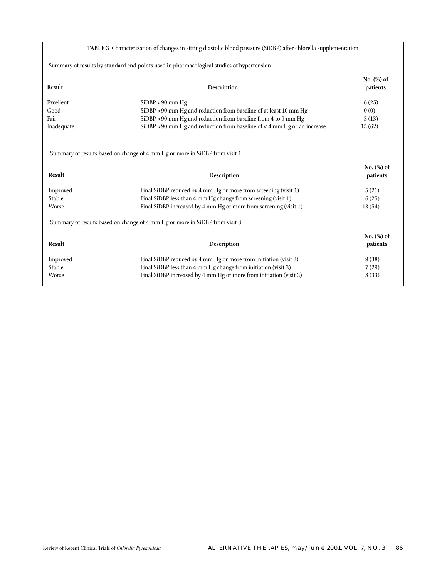|                    | TABLE 3 Characterization of changes in sitting diastolic blood pressure (SiDBP) after chlorella supplementation                    |                           |
|--------------------|------------------------------------------------------------------------------------------------------------------------------------|---------------------------|
|                    | Summary of results by standard end points used in pharmacological studies of hypertension                                          |                           |
| Result             | Description                                                                                                                        | No. (%) of<br>patients    |
| Excellent          | $SiDBP < 90$ mm Hg                                                                                                                 | 6(25)                     |
| Good               | SiDBP >90 mm Hg and reduction from baseline of at least 10 mm Hg                                                                   | 0(0)                      |
| Fair               | SiDBP > 90 mm Hg and reduction from baseline from 4 to 9 mm Hg                                                                     | 3(13)                     |
| Inadequate         | SiDBP $>90$ mm Hg and reduction from baseline of $<4$ mm Hg or an increase                                                         | 15(62)                    |
|                    | Summary of results based on change of 4 mm Hg or more in SiDBP from visit 1                                                        | No. $(\%)$ of             |
| <b>Result</b>      | Description                                                                                                                        | patients                  |
| Improved           | Final SiDBP reduced by 4 mm Hg or more from screening (visit 1)                                                                    | 5(21)                     |
| Stable             | Final SiDBP less than 4 mm Hg change from screening (visit 1)                                                                      | 6(25)                     |
| Worse              | Final SiDBP increased by 4 mm Hg or more from screening (visit 1)                                                                  | 13(54)                    |
|                    | Summary of results based on change of 4 mm Hg or more in SiDBP from visit 3                                                        |                           |
| <b>Result</b>      | Description                                                                                                                        | No. $(\%)$ of<br>patients |
|                    |                                                                                                                                    | 9(38)                     |
| Improved<br>Stable | Final SiDBP reduced by 4 mm Hg or more from initiation (visit 3)<br>Final SiDBP less than 4 mm Hg change from initiation (visit 3) | 7(29)                     |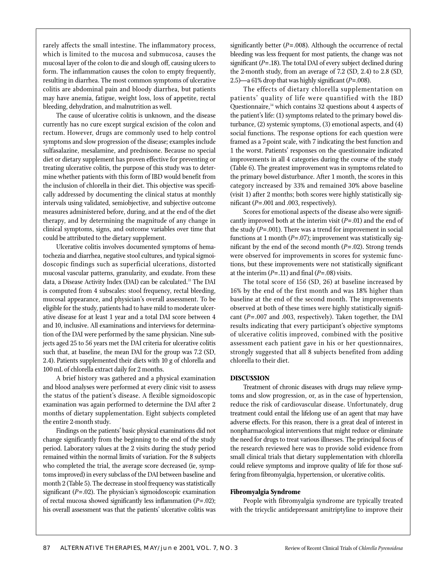rarely affects the small intestine. The inflammatory process, which is limited to the mucosa and submucosa, causes the mucosal layer of the colon to die and slough off, causing ulcers to form. The inflammation causes the colon to empty frequently, resulting in diarrhea. The most common symptoms of ulcerative colitis are abdominal pain and bloody diarrhea, but patients may have anemia, fatigue, weight loss, loss of appetite, rectal bleeding, dehydration, and malnutrition as well.

The cause of ulcerative colitis is unknown, and the disease currently has no cure except surgical excision of the colon and rectum. However, drugs are commonly used to help control symptoms and slow progression of the disease; examples include sulfasalazine, mesalamine, and prednisone. Because no special diet or dietary supplement has proven effective for preventing or treating ulcerative colitis, the purpose of this study was to determine whether patients with this form of IBD would benefit from the inclusion of chlorella in their diet. This objective was specifically addressed by documenting the clinical status at monthly intervals using validated, semiobjective, and subjective outcome measures administered before, during, and at the end of the diet therapy, and by determining the magnitude of any change in clinical symptoms, signs, and outcome variables over time that could be attributed to the dietary supplement.

Ulcerative colitis involves documented symptoms of hematochezia and diarrhea, negative stool cultures, and typical sigmoidoscopic findings such as superficial ulcerations, distorted mucosal vascular patterns, granularity, and exudate. From these data, a Disease Activity Index (DAI) can be calculated.<sup>33</sup> The DAI is computed from 4 subscales: stool frequency, rectal bleeding, mucosal appearance, and physician's overall assessment. To be eligible for the study, patients had to have mild to moderate ulcerative disease for at least 1 year and a total DAI score between 4 and 10, inclusive. All examinations and interviews for determination of the DAI were performed by the same physician. Nine subjects aged 25 to 56 years met the DAI criteria for ulcerative colitis such that, at baseline, the mean DAI for the group was 7.2 (SD, 2.4). Patients supplemented their diets with 10 g of chlorella and 100 mL of chlorella extract daily for 2 months.

A brief history was gathered and a physical examination and blood analyses were performed at every clinic visit to assess the status of the patient's disease. A flexible sigmoidoscopic examination was again performed to determine the DAI after 2 months of dietary supplementation. Eight subjects completed the entire 2-month study.

Findings on the patients' basic physical examinations did not change significantly from the beginning to the end of the study period. Laboratory values at the 2 visits during the study period remained within the normal limits of variation. For the 8 subjects who completed the trial, the average score decreased (ie, symptoms improved) in every subclass of the DAI between baseline and month 2 (Table 5). The decrease in stool frequency was statistically significant (*P*=.02). The physician's sigmoidoscopic examination of rectal mucosa showed significantly less inflammation (*P*=.02); his overall assessment was that the patients' ulcerative colitis was

significantly better ( $P = .008$ ). Although the occurrence of rectal bleeding was less frequent for most patients, the change was not significant (*P*=.18). The total DAI of every subject declined during the 2-month study, from an average of 7.2 (SD, 2.4) to 2.8 (SD, 2.5)—a 61% drop that was highly significant (*P*=.008).

The effects of dietary chlorella supplementation on patients' quality of life were quantified with the IBD Questionnaire,<sup>34</sup> which contains 32 questions about 4 aspects of the patient's life: (1) symptoms related to the primary bowel disturbance, (2) systemic symptoms, (3) emotional aspects, and (4) social functions. The response options for each question were framed as a 7-point scale, with 7 indicating the best function and 1 the worst. Patients' responses on the questionnaire indicated improvements in all 4 categories during the course of the study (Table 6). The greatest improvement was in symptoms related to the primary bowel disturbance. After 1 month, the scores in this category increased by 33% and remained 30% above baseline (visit 1) after 2 months; both scores were highly statistically significant (*P*=.001 and .003, respectively).

Scores for emotional aspects of the disease also were significantly improved both at the interim visit (*P*=.01) and the end of the study (*P*=.001). There was a trend for improvement in social functions at 1 month (*P*=.07); improvement was statistically significant by the end of the second month (*P*=.02). Strong trends were observed for improvements in scores for systemic functions, but these improvements were not statistically significant at the interim  $(P=.11)$  and final  $(P=.08)$  visits.

The total score of 156 (SD, 26) at baseline increased by 16% by the end of the first month and was 18% higher than baseline at the end of the second month. The improvements observed at both of these times were highly statistically significant (*P*= .007 and .003, respectively). Taken together, the DAI results indicating that every participant's objective symptoms of ulcerative colitis improved, combined with the positive assessment each patient gave in his or her questionnaires, strongly suggested that all 8 subjects benefited from adding chlorella to their diet.

## **DISCUSSION**

Treatment of chronic diseases with drugs may relieve symptoms and slow progression, or, as in the case of hypertension, reduce the risk of cardiovascular disease. Unfortunately, drug treatment could entail the lifelong use of an agent that may have adverse effects. For this reason, there is a great deal of interest in nonpharmacological interventions that might reduce or eliminate the need for drugs to treat various illnesses. The principal focus of the research reviewed here was to provide solid evidence from small clinical trials that dietary supplementation with chlorella could relieve symptoms and improve quality of life for those suffering from fibromyalgia, hypertension, or ulcerative colitis.

#### **Fibromyalgia Syndrome**

People with fibromyalgia syndrome are typically treated with the tricyclic antidepressant amitriptyline to improve their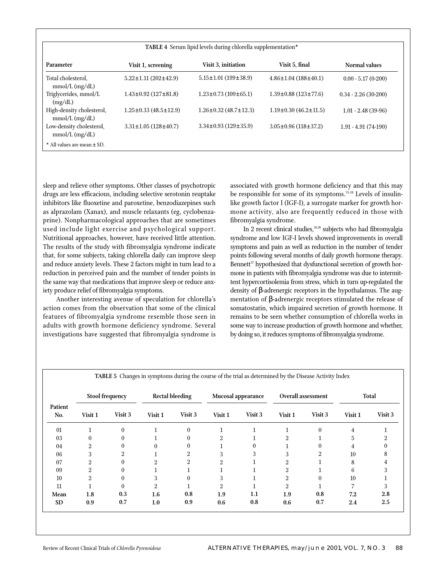|  |  |  | TABLE 4 Serum lipid levels during chlorella supplementation* |
|--|--|--|--------------------------------------------------------------|
|--|--|--|--------------------------------------------------------------|

| Parameter                                     | Visit 1, screening                | <b>Visit 3, initiation</b>        | Visit 5. final                    | Normal values         |
|-----------------------------------------------|-----------------------------------|-----------------------------------|-----------------------------------|-----------------------|
| Total cholesterol.<br>$mmol/L$ (mg/dL)        | $5.22 \pm 1.11 (202 \pm 42.9)$    | $5.15 \pm 1.01$ (199 $\pm$ 38.9)  | $4.86 \pm 1.04$ (188 $\pm 40.1$ ) | $0.00 - 5.17(0-200)$  |
| Triglycerides, mmol/L<br>(mg/dL)              | $1.43 \pm 0.92$ (127 $\pm 81.8$ ) | $1.23 \pm 0.73$ (109 $\pm$ 65.1)  | $1.39\pm0.88$ (123 $\pm77.6$ )    | $0.34 - 2.26(30-200)$ |
| High-density cholesterol,<br>$mmol/L$ (mg/dL) | $1.25 \pm 0.33$ (48.5 $\pm$ 12.9) | $1.26 \pm 0.32$ (48.7 $\pm$ 12.3) | $1.19\pm0.30(46.2\pm11.5)$        | $1.01 - 2.48(39-96)$  |
| Low-density cholesterol,<br>$mmol/L$ (mg/dL)  | $3.31 \pm 1.05$ (128 $\pm 40.7$ ) | $3.34\pm0.93(129\pm35.9)$         | $3.05\pm0.96(118\pm37.2)$         | $1.91 - 4.91(74-190)$ |
| * All values are mean ± SD.                   |                                   |                                   |                                   |                       |

sleep and relieve other symptoms. Other classes of psychotropic drugs are less efficacious, including selective serotonin reuptake inhibitors like fluoxetine and paroxetine, benzodiazepines such as alprazolam (Xanax), and muscle relaxants (eg, cyclobenzaprine). Nonpharmacological approaches that are sometimes used include light exercise and psychological support. Nutritional approaches, however, have received little attention. The results of the study with fibromyalgia syndrome indicate that, for some subjects, taking chlorella daily can improve sleep and reduce anxiety levels. These 2 factors might in turn lead to a reduction in perceived pain and the number of tender points in the same way that medications that improve sleep or reduce anxiety produce relief of fibromyalgia symptoms.

Another interesting avenue of speculation for chlorella's action comes from the observation that some of the clinical features of fibromyalgia syndrome resemble those seen in adults with growth hormone deficiency syndrome. Several investigations have suggested that fibromyalgia syndrome is

associated with growth hormone deficiency and that this may be responsible for some of its symptoms.<sup>35-38</sup> Levels of insulinlike growth factor I (IGF-I), a surrogate marker for growth hormone activity, also are frequently reduced in those with fibromyalgia syndrome.

In 2 recent clinical studies,<sup>36,38</sup> subjects who had fibromyalgia syndrome and low IGF-I levels showed improvements in overall symptoms and pain as well as reduction in the number of tender points following several months of daily growth hormone therapy. Bennett<sup>37</sup> hypothesized that dysfunctional secretion of growth hormone in patients with fibromyalgia syndrome was due to intermittent hypercortisolemia from stress, which in turn up-regulated the density of β-adrenergic receptors in the hypothalamus. The augmentation of β-adrenergic receptors stimulated the release of somatostatin, which impaired secretion of growth hormone. It remains to be seen whether consumption of chlorella works in some way to increase production of growth hormone and whether, by doing so, it reduces symptoms of fibromyalgia syndrome.

| Patient<br>No. | <b>Stool frequency</b> |          | <b>Rectal bleeding</b> |                |         | Mucosal appearance |         | <b>Overall assessment</b> | Total   |         |  |
|----------------|------------------------|----------|------------------------|----------------|---------|--------------------|---------|---------------------------|---------|---------|--|
|                | Visit 1                | Visit 3  | Visit 1                | Visit 3        | Visit 1 | Visit 3            | Visit 1 | Visit 3                   | Visit 1 | Visit 3 |  |
| 01             |                        | $\theta$ |                        | $\mathbf{0}$   |         |                    |         | $\Omega$                  | 4       |         |  |
| 03             |                        | 0        |                        | $\theta$       | 2       |                    |         |                           | 5.      |         |  |
| 04             | 2                      |          |                        | $\theta$       |         |                    |         |                           | 4       |         |  |
| 06             | 3                      | 2        |                        | $\overline{2}$ | 3       | 3                  |         | 2                         | 10      | 8       |  |
| 07             | 2                      | $\theta$ | ŋ                      |                | 2       |                    |         |                           | 8       |         |  |
| 09             | 2                      | $\theta$ |                        |                |         |                    |         |                           | 6       |         |  |
| 10             | $\overline{2}$         | $\theta$ | 3                      | $\theta$       | 3       |                    | 2       | 0                         | 10      |         |  |
| 11             |                        | $\theta$ | 2                      |                | 2       |                    | 2       |                           |         |         |  |
| Mean           | 1.8                    | 0.3      | 1.6                    | 0.8            | 1.9     | 1.1                | 1.9     | 0.8                       | 7.2     | 2.8     |  |
| <b>SD</b>      | 0.9                    | 0.7      | 1.0                    | 0.9            | 0.6     | 0.8                | 0.6     | 0.7                       | 2.4     | 2.5     |  |

**TABLE 5** Changes in symptoms during the course of the trial as determined by the Disease Activity Index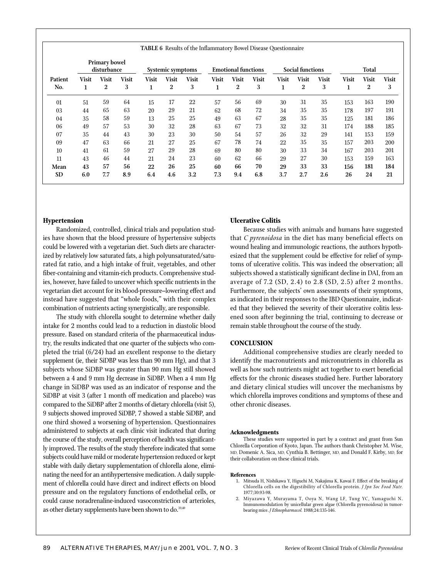|                | <b>Primary bowel</b><br>disturbance |                   | Systemic symptoms |                    | <b>Emotional functions</b> |                   | <b>Social functions</b> |                   |                   | Total             |                                  |                   |                   |                   |                   |
|----------------|-------------------------------------|-------------------|-------------------|--------------------|----------------------------|-------------------|-------------------------|-------------------|-------------------|-------------------|----------------------------------|-------------------|-------------------|-------------------|-------------------|
| Patient<br>No. | <b>Visit</b><br>1                   | <b>Visit</b><br>2 | <b>Visit</b><br>3 | <b>Visit</b><br>Ŧ. | <b>Visit</b><br>2          | <b>Visit</b><br>3 | <b>Visit</b><br>1       | <b>Visit</b><br>2 | <b>Visit</b><br>3 | <b>Visit</b><br>1 | <b>Visit</b><br>$\boldsymbol{2}$ | <b>Visit</b><br>3 | <b>Visit</b><br>п | <b>Visit</b><br>2 | <b>Visit</b><br>3 |
| 01             | 51                                  | 59                | 64                | 15                 | 17                         | 22                | 57                      | 56                | 69                | 30                | 31                               | 35                | 153               | 163               | 190               |
| 03             | 44                                  | 65                | 63                | 20                 | 29                         | 21                | 62                      | 68                | 72                | 34                | 35                               | 35                | 178               | 197               | 191               |
| 04             | 35                                  | 58                | 59                | 13                 | 25                         | 25                | 49                      | 63                | 67                | 28                | 35                               | 35                | 125               | 181               | 186               |
| 06             | 49                                  | 57                | 53                | 30                 | 32                         | 28                | 63                      | 67                | 73                | 32                | 32                               | 31                | 174               | 188               | 185               |
| 07             | 35                                  | 44                | 43                | 30                 | 23                         | 30                | 50                      | 54                | 57                | 26                | 32                               | 29                | 141               | 153               | 159               |
| 09             | 47                                  | 63                | 66                | 21                 | 27                         | 25                | 67                      | 78                | 74                | 22                | 35                               | 35                | 157               | 203               | 200               |
| 10             | 41                                  | 61                | 59                | 27                 | 29                         | 28                | 69                      | 80                | 80                | 30                | 33                               | 34                | 167               | 203               | 201               |
| 11             | 43                                  | 46                | 44                | 21                 | 24                         | 23                | 60                      | 62                | 66                | 29                | 27                               | 30                | 153               | 159               | 163               |
| Mean           | 43                                  | 57                | 56                | 22                 | 26                         | 25                | 60                      | 66                | 70                | 29                | 33                               | 33                | 156               | 181               | 184               |
| <b>SD</b>      | 6.0                                 | 7.7               | 8.9               | 6.4                | 4.6                        | 3.2               | 7.3                     | 9.4               | 6.8               | 3.7               | 2.7                              | 2.6               | 26                | 24                | 21                |

**TABLE 6** Results of the Inflammatory Bowel Disease Questionnaire

## **Hypertension**

Randomized, controlled, clinical trials and population studies have shown that the blood pressure of hypertensive subjects could be lowered with a vegetarian diet. Such diets are characterized by relatively low saturated fats, a high polyunsaturated/saturated fat ratio, and a high intake of fruit, vegetables, and other fiber-containing and vitamin-rich products. Comprehensive studies, however, have failed to uncover which specific nutrients in the vegetarian diet account for its blood-pressure–lowering effect and instead have suggested that "whole foods," with their complex combination of nutrients acting synergistically, are responsible.

The study with chlorella sought to determine whether daily intake for 2 months could lead to a reduction in diastolic blood pressure. Based on standard criteria of the pharmaceutical industry, the results indicated that one quarter of the subjects who completed the trial (6/24) had an excellent response to the dietary supplement (ie, their SiDBP was less than 90 mm Hg), and that 3 subjects whose SiDBP was greater than 90 mm Hg still showed between a 4 and 9 mm Hg decrease in SiDBP. When a 4 mm Hg change in SiDBP was used as an indicator of response and the SiDBP at visit 3 (after 1 month off medication and placebo) was compared to the SiDBP after 2 months of dietary chlorella (visit 5), 9 subjects showed improved SiDBP, 7 showed a stable SiDBP, and one third showed a worsening of hypertension. Questionnaires administered to subjects at each clinic visit indicated that during the course of the study, overall perception of health was significantly improved. The results of the study therefore indicated that some subjects could have mild or moderate hypertension reduced or kept stable with daily dietary supplementation of chlorella alone, eliminating the need for an antihypertensive medication. A daily supplement of chlorella could have direct and indirect effects on blood pressure and on the regulatory functions of endothelial cells, or could cause noradrenaline-induced vasoconstriction of arterioles, as other dietary supplements have been shown to do.<sup>39,40</sup>

## **Ulcerative Colitis**

Because studies with animals and humans have suggested that *C pyrenoidosa* in the diet has many beneficial effects on wound healing and immunologic reactions, the authors hypothesized that the supplement could be effective for relief of symptoms of ulcerative colitis. This was indeed the observation; all subjects showed a statistically significant decline in DAI, from an average of 7.2 (SD, 2.4) to 2.8 (SD, 2.5) after 2 months. Furthermore, the subjects' own assessments of their symptoms, as indicated in their responses to the IBD Questionnaire, indicated that they believed the severity of their ulcerative colitis lessened soon after beginning the trial, continuing to decrease or remain stable throughout the course of the study.

### **CONCLUSION**

Additional comprehensive studies are clearly needed to identify the macronutrients and micronutrients in chlorella as well as how such nutrients might act together to exert beneficial effects for the chronic diseases studied here. Further laboratory and dietary clinical studies will uncover the mechanisms by which chlorella improves conditions and symptoms of these and other chronic diseases.

#### **Acknowledgments**

These studies were supported in part by a contract and grant from Sun Chlorella Corporation of Kyoto, Japan. The authors thank Christopher M. Wise, MD, Domenic A. Sica, MD, Cynthia B. Bettinger, MD, and Donald F. Kirby, MD, for their collaboration on these clinical trials.

#### **References**

- 1. Mitsuda H, Nishikawa Y, Higuchi M, Nakajima K, Kawai F. Effect of the breaking of Chlorella cells on the digestibility of Chlorella protein. *J Jpn Soc Food Nutr.* 1977;30:93-98.
- 2. Miyazawa Y, Murayama T, Ooya N, Wang LF, Tung YC, Yamaguchi N. Immunomodulation by unicellular green algae (Chlorella pyrenoidosa) in tumorbearing mice. *J Ethnopharmacol.* 1988;24:135-146.